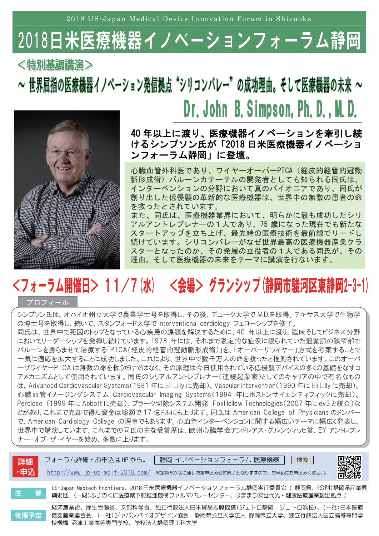2018 US-Japan Medical Device Innovation Forum in Shizuoka

## 2018日米医療 機器イノベーションフォーラム静岡

<特別基調講演>

~ 世界屈指の医療機器イノベーション発信拠点"シリコンバレー"の成功理由。そして医療機器の未来 ~ Dr. John B. Simpson, Ph. D., M. D.



### 40年以上に渡り、医療機器イノベーションを牽引し続 けるシンプソン氏が「2018日米医療機器イノベーショ ンフォーラム静岡」に登壇。

心臓血管外科医であり、ワイヤーオーバーPTCA (経皮的経管的冠動 脈形成術)バルーンカテーテルの開発者としても知られる同氏は、 インターベンションの分野において真のパイオニアであり、同氏が 創り出した低侵襲の革新的な医療機器は、世界中の無数の患者の命 を救ったとされています。 また、同氏は、医療機器業界において、明らかに最も成功したシリ アルアントレプレナーの1人であり、75 歳になった現在でも新たな スタートアップを立ち上げ、最先端の医療技術を最前線でリードし 続けています。シリコンバレーがなぜ世界最高の医療機器産業クラ スターとなったのか、その発展の立役者の1人である同氏が、その 理由、そして医療機器の未来をテーマに講演を行ないます。

# <フォーラム開催日> 11/7(水) <会場> グランシップ(静岡市駿河区東静岡2-3-1)

#### プロフィール

シンプソン氏は、オハイオ州立大学で農業学士号を取得し、その後、デューク大学でMD.を取得。テキサス大学で生物学 の博士号を取得し、続いて、スタンフォード大学で interventional cardiology フェローシップを修了。 同氏は、世界中で死因のトップとなっている心疾患の課題を解決するために、40年以上に渡り、臨床そしてビジネス分野 においてリーダーシップを発揮し続けています。1978 年には、それまで限定的な症例に限られていた冠動脈の狭窄部で バルーンを膨らませて治療する「PTCA(経皮的経管的冠動脈形成術)」を、「オーバーザワイヤー」方式を考案することで 一気に適応を拡大することに成功しました。これにより、世界中で数千万人の命を救ったと推測されています。このオーバ 一ザワイヤーPTCAは無数の命を救うだけではなく、その原理は今日使用されている低侵襲デバイスの多くの基礎をなすコ アメカニズムとして使用されています。同氏のシリアルアントレプレナー(連続起業家)としてのキャリアの中で有名なもの は、Advanced Cardiovascular Systems (1981年にEli Lilly に売却)、Vascular Intervention (1990年にEli Lilly に売却)、 心臓血管イメージングシステム Cardiovascular Imaging Systems(1994 年にボストンサイエンティフィックに売却)、 Perclose (1999年に Abbott に売却)、プラーク切除システム開発 FoxHollow Technologies(2007年にev3と統合)な どがあり、これまで売却で得た資金は総額で 17 億ドルにも上ります。 同氏は American College of Physicians のメンバー で、American Cardiology College の理事でもあります。心血管インターベンションに関する幅広いテーマに幅広く発表し、 世界中で講演しています。これまでの同氏の主な受賞歴は、欧州心臓学会アンドレアス・グルンツィッヒ賞、EY アントレプレ ナー・オブ・ザ・イヤーを始め、多数に上ります。

| 詳細<br>・申込 | 静岡 イノベーションフォーラム 医療機器<br>フォーラム詳細・お申込は HP から。<br>検索  <br>$http://www.jp-us-mdir-2018.com/$<br>※定員500名に達し次第申込み受付終了となりますので、お早めにお申込みください。               | 「光光」<br>画像像 |
|-----------|----------------------------------------------------------------------------------------------------------------------------------------------------|-------------|
| 主<br>催    | US-Japan Medtech Frontiers、2018 日米医療機器イノベーションフォーラム静岡実行委員会 (静岡県、(公財)静岡県産業振<br>興財団、(一財)ふじのくに医療城下町推進機構ファルマバレーセンター、はままつ次世代光・健康医療産業創出拠点)                |             |
| 後援予定      | 経済産業省、厚生労働省、文部科学省、独立行政法人日本貿易振興機構(ジェトロ静岡、ジェトロ浜松)、(一社)日本医療<br>機器産業連合会、(一社)ジャパンバイオデザイン協会、静岡県公立大学法人 静岡県立大学、独立行政法人国立高等専門学<br>校機構 沼津工業高等専門学校、学校法人静岡理工科大学 |             |